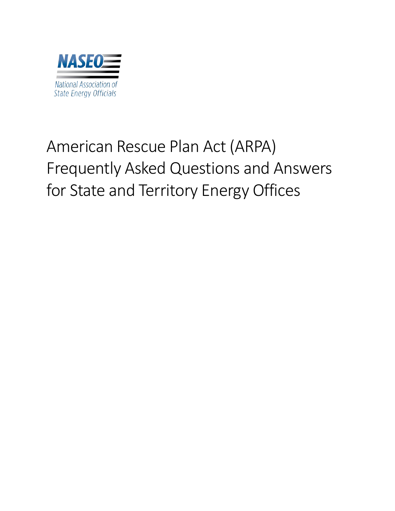<span id="page-0-0"></span>

# American Rescue Plan Act (ARPA) Frequently Asked Questions and Answers for State and Territory Energy Offices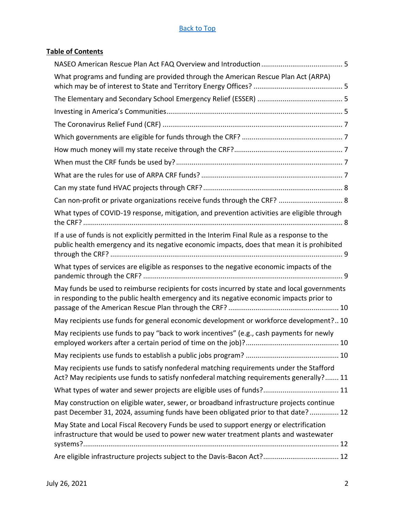# **Table of Contents**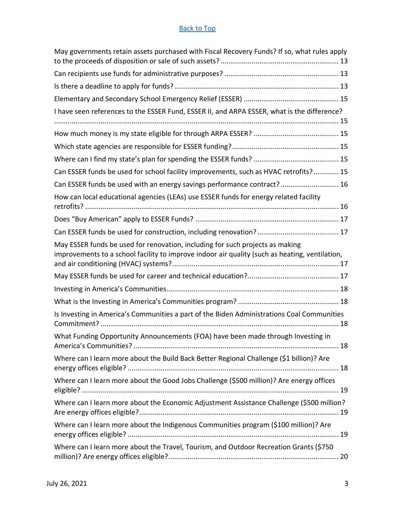| May governments retain assets purchased with Fiscal Recovery Funds? If so, what rules apply                                                                                     |
|---------------------------------------------------------------------------------------------------------------------------------------------------------------------------------|
|                                                                                                                                                                                 |
|                                                                                                                                                                                 |
|                                                                                                                                                                                 |
| I have seen references to the ESSER Fund, ESSER II, and ARPA ESSER, what is the difference?                                                                                     |
|                                                                                                                                                                                 |
|                                                                                                                                                                                 |
|                                                                                                                                                                                 |
| Can ESSER funds be used for school facility improvements, such as HVAC retrofits? 15                                                                                            |
| Can ESSER funds be used with an energy savings performance contract? 16                                                                                                         |
| How can local educational agencies (LEAs) use ESSER funds for energy related facility                                                                                           |
|                                                                                                                                                                                 |
|                                                                                                                                                                                 |
| May ESSER funds be used for renovation, including for such projects as making<br>improvements to a school facility to improve indoor air quality (such as heating, ventilation, |
|                                                                                                                                                                                 |
|                                                                                                                                                                                 |
|                                                                                                                                                                                 |
| Is Investing in America's Communities a part of the Biden Administrations Coal Communities                                                                                      |
| What Funding Opportunity Announcements (FOA) have been made through Investing in                                                                                                |
| Where can I learn more about the Build Back Better Regional Challenge (\$1 billion)? Are                                                                                        |
| Where can I learn more about the Good Jobs Challenge (\$500 million)? Are energy offices                                                                                        |
| Where can I learn more about the Economic Adjustment Assistance Challenge (\$500 million?                                                                                       |
| Where can I learn more about the Indigenous Communities program (\$100 million)? Are                                                                                            |
| Where can I learn more about the Travel, Tourism, and Outdoor Recreation Grants (\$750                                                                                          |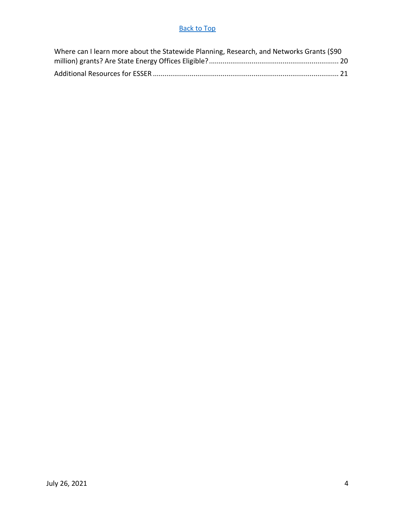| Where can I learn more about the Statewide Planning, Research, and Networks Grants (\$90 |  |
|------------------------------------------------------------------------------------------|--|
|                                                                                          |  |
|                                                                                          |  |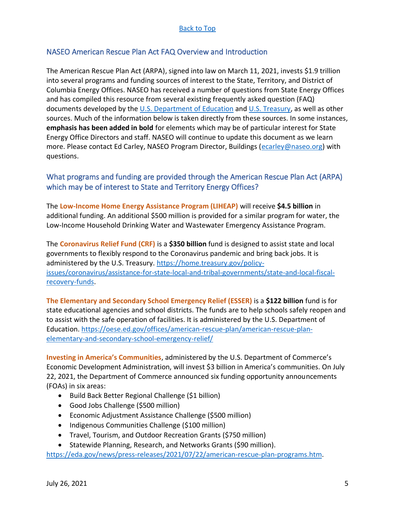# <span id="page-4-0"></span>NASEO American Rescue Plan Act FAQ Overview and Introduction

The American Rescue Plan Act (ARPA), signed into law on March 11, 2021, invests \$1.9 trillion into several programs and funding sources of interest to the State, Territory, and District of Columbia Energy Offices. NASEO has received a number of questions from State Energy Offices and has compiled this resource from several existing frequently asked question (FAQ) documents developed by the  $U.S.$  Department of Education and [U.S. Treasury,](https://home.treasury.gov/system/files/136/SLFRPFAQ.pdf) as well as other sources. Much of the information below is taken directly from these sources. In some instances, **emphasis has been added in bold** for elements which may be of particular interest for State Energy Office Directors and staff. NASEO will continue to update this document as we learn more. Please contact Ed Carley, NASEO Program Director, Buildings [\(ecarley@naseo.org\)](mailto:ecarley@naseo.org) with questions.

# <span id="page-4-1"></span>What programs and funding are provided through the American Rescue Plan Act (ARPA) which may be of interest to State and Territory Energy Offices?

The **Low-Income Home Energy Assistance Program (LIHEAP)** will receive **\$4.5 billion** in additional funding. An additional \$500 million is provided for a similar program for water, the Low-Income Household Drinking Water and Wastewater Emergency Assistance Program.

The **Coronavirus Relief Fund (CRF)** is a **\$350 billion** fund is designed to assist state and local governments to flexibly respond to the Coronavirus pandemic and bring back jobs. It is administered by the U.S. Treasury. [https://home.treasury.gov/policy](https://home.treasury.gov/policy-issues/coronavirus/assistance-for-state-local-and-tribal-governments/state-and-local-fiscal-recovery-funds)[issues/coronavirus/assistance-for-state-local-and-tribal-governments/state-and-local-fiscal](https://home.treasury.gov/policy-issues/coronavirus/assistance-for-state-local-and-tribal-governments/state-and-local-fiscal-recovery-funds)[recovery-funds.](https://home.treasury.gov/policy-issues/coronavirus/assistance-for-state-local-and-tribal-governments/state-and-local-fiscal-recovery-funds)

<span id="page-4-2"></span>**The Elementary and Secondary School Emergency Relief (ESSER)** is a **\$122 billion** fund is for state educational agencies and school districts. The funds are to help schools safely reopen and to assist with the safe operation of facilities. It is administered by the U.S. Department of Education. [https://oese.ed.gov/offices/american-rescue-plan/american-rescue-plan](https://oese.ed.gov/offices/american-rescue-plan/american-rescue-plan-elementary-and-secondary-school-emergency-relief/)[elementary-and-secondary-school-emergency-relief/](https://oese.ed.gov/offices/american-rescue-plan/american-rescue-plan-elementary-and-secondary-school-emergency-relief/)

<span id="page-4-3"></span>**Investing in America's Communities**, administered by the U.S. Department of Commerce's Economic Development Administration, will invest \$3 billion in America's communities. On July 22, 2021, the Department of Commerce announced six funding opportunity announcements (FOAs) in six areas:

- Build Back Better Regional Challenge (\$1 billion)
- Good Jobs Challenge (\$500 million)
- Economic Adjustment Assistance Challenge (\$500 million)
- Indigenous Communities Challenge (\$100 million)
- Travel, Tourism, and Outdoor Recreation Grants (\$750 million)
- Statewide Planning, Research, and Networks Grants (\$90 million).

[https://eda.gov/news/press-releases/2021/07/22/american-rescue-plan-programs.htm.](https://eda.gov/news/press-releases/2021/07/22/american-rescue-plan-programs.htm)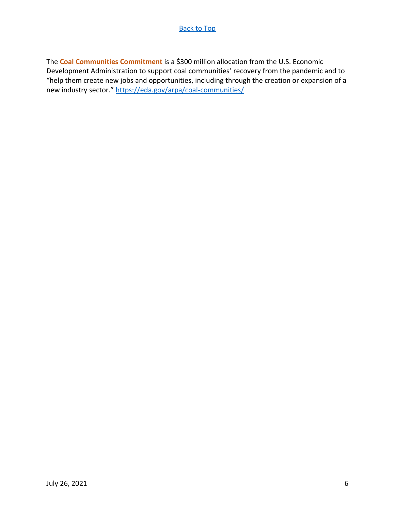The **Coal Communities Commitment** is a \$300 million allocation from the U.S. Economic Development Administration to support coal communities' recovery from the pandemic and to "help them create new jobs and opportunities, including through the creation or expansion of a new industry sector." <https://eda.gov/arpa/coal-communities/>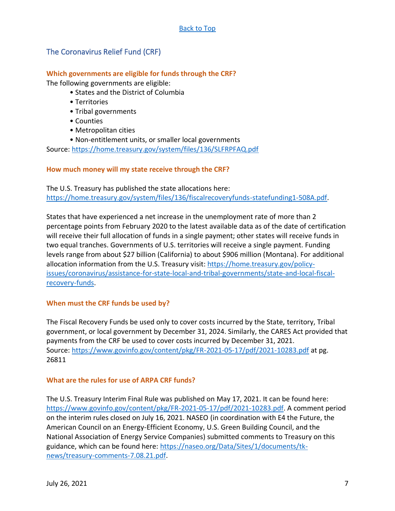# <span id="page-6-0"></span>The Coronavirus Relief Fund (CRF)

#### <span id="page-6-1"></span>**Which governments are eligible for funds through the CRF?**

The following governments are eligible:

- States and the District of Columbia
- Territories
- Tribal governments
- Counties
- Metropolitan cities
- Non-entitlement units, or smaller local governments

Source:<https://home.treasury.gov/system/files/136/SLFRPFAQ.pdf>

#### <span id="page-6-2"></span>**How much money will my state receive through the CRF?**

The U.S. Treasury has published the state allocations here: [https://home.treasury.gov/system/files/136/fiscalrecoveryfunds-statefunding1-508A.pdf.](https://home.treasury.gov/system/files/136/fiscalrecoveryfunds-statefunding1-508A.pdf)

States that have experienced a net increase in the unemployment rate of more than 2 percentage points from February 2020 to the latest available data as of the date of certification will receive their full allocation of funds in a single payment; other states will receive funds in two equal tranches. Governments of U.S. territories will receive a single payment. Funding levels range from about \$27 billion (California) to about \$906 million (Montana). For additional allocation information from the U.S. Treasury visit: [https://home.treasury.gov/policy](https://home.treasury.gov/policy-issues/coronavirus/assistance-for-state-local-and-tribal-governments/state-and-local-fiscal-recovery-funds)[issues/coronavirus/assistance-for-state-local-and-tribal-governments/state-and-local-fiscal](https://home.treasury.gov/policy-issues/coronavirus/assistance-for-state-local-and-tribal-governments/state-and-local-fiscal-recovery-funds)[recovery-funds.](https://home.treasury.gov/policy-issues/coronavirus/assistance-for-state-local-and-tribal-governments/state-and-local-fiscal-recovery-funds)

# <span id="page-6-3"></span>**When must the CRF funds be used by?**

The Fiscal Recovery Funds be used only to cover costs incurred by the State, territory, Tribal government, or local government by December 31, 2024. Similarly, the CARES Act provided that payments from the CRF be used to cover costs incurred by December 31, 2021. Source:<https://www.govinfo.gov/content/pkg/FR-2021-05-17/pdf/2021-10283.pdf> at pg. 26811

#### <span id="page-6-4"></span>**What are the rules for use of ARPA CRF funds?**

The U.S. Treasury Interim Final Rule was published on May 17, 2021. It can be found here: [https://www.govinfo.gov/content/pkg/FR-2021-05-17/pdf/2021-10283.pdf.](https://www.govinfo.gov/content/pkg/FR-2021-05-17/pdf/2021-10283.pdf) A comment period on the interim rules closed on July 16, 2021. NASEO (in coordination with E4 the Future, the American Council on an Energy-Efficient Economy, U.S. Green Building Council, and the National Association of Energy Service Companies) submitted comments to Treasury on this guidance, which can be found here: [https://naseo.org/Data/Sites/1/documents/tk](https://naseo.org/Data/Sites/1/documents/tk-news/treasury-comments-7.08.21.pdf)[news/treasury-comments-7.08.21.pdf.](https://naseo.org/Data/Sites/1/documents/tk-news/treasury-comments-7.08.21.pdf)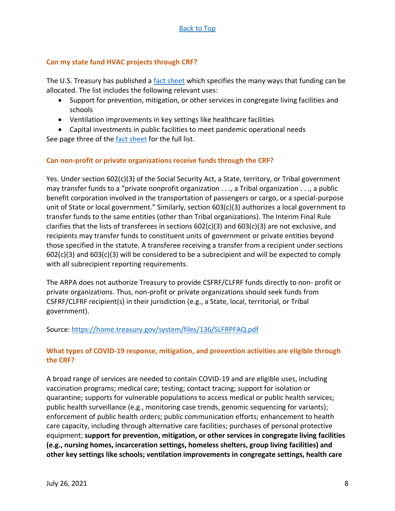## <span id="page-7-0"></span>**Can my state fund HVAC projects through CRF?**

The U.S. Treasury has published a [fact sheet](https://home.treasury.gov/system/files/136/SLFRP-Fact-Sheet-FINAL1-508A.pdf) which specifies the many ways that funding can be allocated. The list includes the following relevant uses:

- Support for prevention, mitigation, or other services in congregate living facilities and schools
- Ventilation improvements in key settings like healthcare facilities

• Capital investments in public facilities to meet pandemic operational needs See page three of the [fact sheet](https://home.treasury.gov/system/files/136/SLFRP-Fact-Sheet-FINAL1-508A.pdf) for the full list.

#### <span id="page-7-1"></span>**Can non-profit or private organizations receive funds through the CRF?**

Yes. Under section 602(c)(3) of the Social Security Act, a State, territory, or Tribal government may transfer funds to a "private nonprofit organization . . ., a Tribal organization . . ., a public benefit corporation involved in the transportation of passengers or cargo, or a special-purpose unit of State or local government." Similarly, section 603(c)(3) authorizes a local government to transfer funds to the same entities (other than Tribal organizations). The Interim Final Rule clarifies that the lists of transferees in sections  $602(c)(3)$  and  $603(c)(3)$  are not exclusive, and recipients may transfer funds to constituent units of government or private entities beyond those specified in the statute. A transferee receiving a transfer from a recipient under sections  $602(c)(3)$  and  $603(c)(3)$  will be considered to be a subrecipient and will be expected to comply with all subrecipient reporting requirements.

The ARPA does not authorize Treasury to provide CSFRF/CLFRF funds directly to non- profit or private organizations. Thus, non-profit or private organizations should seek funds from CSFRF/CLFRF recipient(s) in their jurisdiction (e.g., a State, local, territorial, or Tribal government).

#### Source:<https://home.treasury.gov/system/files/136/SLFRPFAQ.pdf>

# <span id="page-7-2"></span>**What types of COVID-19 response, mitigation, and prevention activities are eligible through the CRF?**

A broad range of services are needed to contain COVID-19 and are eligible uses, including vaccination programs; medical care; testing; contact tracing; support for isolation or quarantine; supports for vulnerable populations to access medical or public health services; public health surveillance (e.g., monitoring case trends, genomic sequencing for variants); enforcement of public health orders; public communication efforts; enhancement to health care capacity, including through alternative care facilities; purchases of personal protective equipment; **support for prevention, mitigation, or other services in congregate living facilities (e.g., nursing homes, incarceration settings, homeless shelters, group living facilities) and other key settings like schools; ventilation improvements in congregate settings, health care**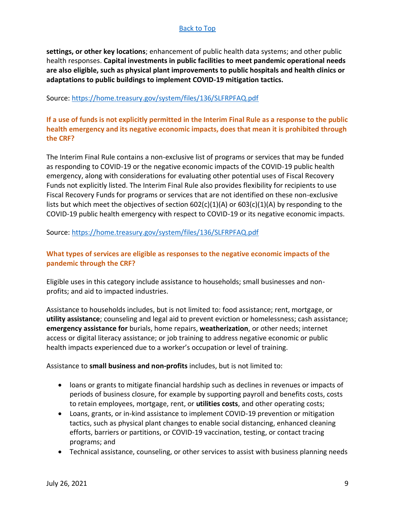**settings, or other key locations**; enhancement of public health data systems; and other public health responses. **Capital investments in public facilities to meet pandemic operational needs are also eligible, such as physical plant improvements to public hospitals and health clinics or adaptations to public buildings to implement COVID-19 mitigation tactics.** 

#### Source:<https://home.treasury.gov/system/files/136/SLFRPFAQ.pdf>

<span id="page-8-0"></span>**If a use of funds is not explicitly permitted in the Interim Final Rule as a response to the public health emergency and its negative economic impacts, does that mean it is prohibited through the CRF?**

The Interim Final Rule contains a non-exclusive list of programs or services that may be funded as responding to COVID-19 or the negative economic impacts of the COVID-19 public health emergency, along with considerations for evaluating other potential uses of Fiscal Recovery Funds not explicitly listed. The Interim Final Rule also provides flexibility for recipients to use Fiscal Recovery Funds for programs or services that are not identified on these non-exclusive lists but which meet the objectives of section  $602(c)(1)(A)$  or  $603(c)(1)(A)$  by responding to the COVID-19 public health emergency with respect to COVID-19 or its negative economic impacts.

#### Source:<https://home.treasury.gov/system/files/136/SLFRPFAQ.pdf>

# <span id="page-8-1"></span>**What types of services are eligible as responses to the negative economic impacts of the pandemic through the CRF?**

Eligible uses in this category include assistance to households; small businesses and nonprofits; and aid to impacted industries.

Assistance to households includes, but is not limited to: food assistance; rent, mortgage, or **utility assistance**; counseling and legal aid to prevent eviction or homelessness; cash assistance; **emergency assistance for** burials, home repairs, **weatherization**, or other needs; internet access or digital literacy assistance; or job training to address negative economic or public health impacts experienced due to a worker's occupation or level of training.

#### Assistance to **small business and non-profits** includes, but is not limited to:

- loans or grants to mitigate financial hardship such as declines in revenues or impacts of periods of business closure, for example by supporting payroll and benefits costs, costs to retain employees, mortgage, rent, or **utilities costs**, and other operating costs;
- Loans, grants, or in-kind assistance to implement COVID-19 prevention or mitigation tactics, such as physical plant changes to enable social distancing, enhanced cleaning efforts, barriers or partitions, or COVID-19 vaccination, testing, or contact tracing programs; and
- Technical assistance, counseling, or other services to assist with business planning needs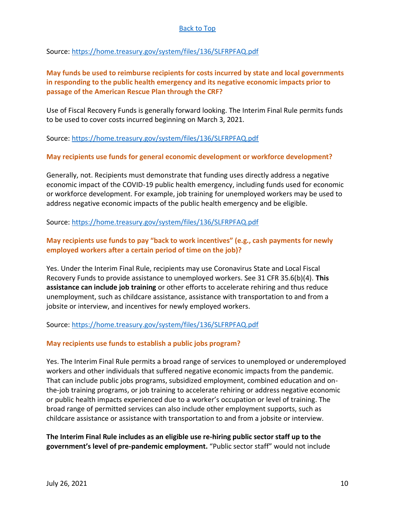Source:<https://home.treasury.gov/system/files/136/SLFRPFAQ.pdf>

# <span id="page-9-0"></span>**May funds be used to reimburse recipients for costs incurred by state and local governments in responding to the public health emergency and its negative economic impacts prior to passage of the American Rescue Plan through the CRF?**

Use of Fiscal Recovery Funds is generally forward looking. The Interim Final Rule permits funds to be used to cover costs incurred beginning on March 3, 2021.

Source:<https://home.treasury.gov/system/files/136/SLFRPFAQ.pdf>

# <span id="page-9-1"></span>**May recipients use funds for general economic development or workforce development?**

Generally, not. Recipients must demonstrate that funding uses directly address a negative economic impact of the COVID-19 public health emergency, including funds used for economic or workforce development. For example, job training for unemployed workers may be used to address negative economic impacts of the public health emergency and be eligible.

Source:<https://home.treasury.gov/system/files/136/SLFRPFAQ.pdf>

# <span id="page-9-2"></span>**May recipients use funds to pay "back to work incentives" (e.g., cash payments for newly employed workers after a certain period of time on the job)?**

Yes. Under the Interim Final Rule, recipients may use Coronavirus State and Local Fiscal Recovery Funds to provide assistance to unemployed workers. See 31 CFR 35.6(b)(4). **This assistance can include job training** or other efforts to accelerate rehiring and thus reduce unemployment, such as childcare assistance, assistance with transportation to and from a jobsite or interview, and incentives for newly employed workers.

Source:<https://home.treasury.gov/system/files/136/SLFRPFAQ.pdf>

#### <span id="page-9-3"></span>**May recipients use funds to establish a public jobs program?**

Yes. The Interim Final Rule permits a broad range of services to unemployed or underemployed workers and other individuals that suffered negative economic impacts from the pandemic. That can include public jobs programs, subsidized employment, combined education and onthe-job training programs, or job training to accelerate rehiring or address negative economic or public health impacts experienced due to a worker's occupation or level of training. The broad range of permitted services can also include other employment supports, such as childcare assistance or assistance with transportation to and from a jobsite or interview.

**The Interim Final Rule includes as an eligible use re-hiring public sector staff up to the government's level of pre-pandemic employment.** "Public sector staff" would not include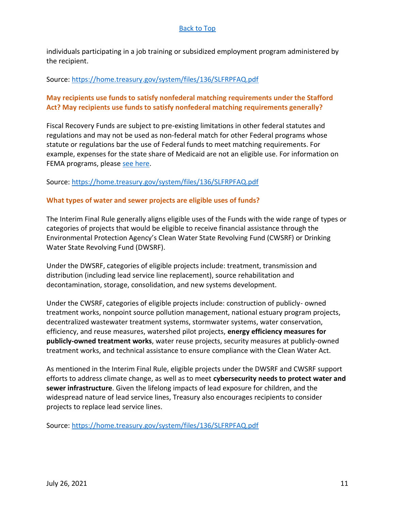individuals participating in a job training or subsidized employment program administered by the recipient.

#### Source:<https://home.treasury.gov/system/files/136/SLFRPFAQ.pdf>

# <span id="page-10-0"></span>**May recipients use funds to satisfy nonfederal matching requirements under the Stafford Act? May recipients use funds to satisfy nonfederal matching requirements generally?**

Fiscal Recovery Funds are subject to pre-existing limitations in other federal statutes and regulations and may not be used as non-federal match for other Federal programs whose statute or regulations bar the use of Federal funds to meet matching requirements. For example, expenses for the state share of Medicaid are not an eligible use. For information on FEMA programs, please [see here.](https://www.fema.gov/press-release/20210203/fema-statement-100-cost-share)

#### Source:<https://home.treasury.gov/system/files/136/SLFRPFAQ.pdf>

#### <span id="page-10-1"></span>**What types of water and sewer projects are eligible uses of funds?**

The Interim Final Rule generally aligns eligible uses of the Funds with the wide range of types or categories of projects that would be eligible to receive financial assistance through the Environmental Protection Agency's Clean Water State Revolving Fund (CWSRF) or Drinking Water State Revolving Fund (DWSRF).

Under the DWSRF, categories of eligible projects include: treatment, transmission and distribution (including lead service line replacement), source rehabilitation and decontamination, storage, consolidation, and new systems development.

Under the CWSRF, categories of eligible projects include: construction of publicly- owned treatment works, nonpoint source pollution management, national estuary program projects, decentralized wastewater treatment systems, stormwater systems, water conservation, efficiency, and reuse measures, watershed pilot projects, **energy efficiency measures for publicly-owned treatment works**, water reuse projects, security measures at publicly-owned treatment works, and technical assistance to ensure compliance with the Clean Water Act.

As mentioned in the Interim Final Rule, eligible projects under the DWSRF and CWSRF support efforts to address climate change, as well as to meet **cybersecurity needs to protect water and sewer infrastructure**. Given the lifelong impacts of lead exposure for children, and the widespread nature of lead service lines, Treasury also encourages recipients to consider projects to replace lead service lines.

Source:<https://home.treasury.gov/system/files/136/SLFRPFAQ.pdf>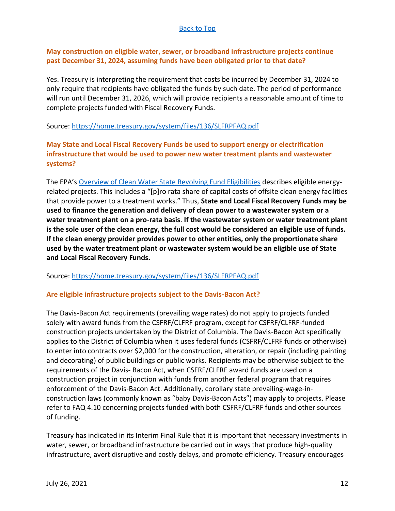# <span id="page-11-0"></span>**May construction on eligible water, sewer, or broadband infrastructure projects continue past December 31, 2024, assuming funds have been obligated prior to that date?**

Yes. Treasury is interpreting the requirement that costs be incurred by December 31, 2024 to only require that recipients have obligated the funds by such date. The period of performance will run until December 31, 2026, which will provide recipients a reasonable amount of time to complete projects funded with Fiscal Recovery Funds.

#### Source:<https://home.treasury.gov/system/files/136/SLFRPFAQ.pdf>

# <span id="page-11-1"></span>**May State and Local Fiscal Recovery Funds be used to support energy or electrification infrastructure that would be used to power new water treatment plants and wastewater systems?**

The EPA's [Overview of Clean Water State Revolving Fund Eligibilities](https://www.epa.gov/sites/default/files/2016-07/documents/overview_of_cwsrf_eligibilities_may_2016.pdf) describes eligible energyrelated projects. This includes a "[p]ro rata share of capital costs of offsite clean energy facilities that provide power to a treatment works." Thus, **State and Local Fiscal Recovery Funds may be used to finance the generation and delivery of clean power to a wastewater system or a water treatment plant on a pro-rata basis**. **If the wastewater system or water treatment plant is the sole user of the clean energy, the full cost would be considered an eligible use of funds. If the clean energy provider provides power to other entities, only the proportionate share used by the water treatment plant or wastewater system would be an eligible use of State and Local Fiscal Recovery Funds.** 

#### Source:<https://home.treasury.gov/system/files/136/SLFRPFAQ.pdf>

#### <span id="page-11-2"></span>**Are eligible infrastructure projects subject to the Davis-Bacon Act?**

The Davis-Bacon Act requirements (prevailing wage rates) do not apply to projects funded solely with award funds from the CSFRF/CLFRF program, except for CSFRF/CLFRF-funded construction projects undertaken by the District of Columbia. The Davis-Bacon Act specifically applies to the District of Columbia when it uses federal funds (CSFRF/CLFRF funds or otherwise) to enter into contracts over \$2,000 for the construction, alteration, or repair (including painting and decorating) of public buildings or public works. Recipients may be otherwise subject to the requirements of the Davis- Bacon Act, when CSFRF/CLFRF award funds are used on a construction project in conjunction with funds from another federal program that requires enforcement of the Davis-Bacon Act. Additionally, corollary state prevailing-wage-inconstruction laws (commonly known as "baby Davis-Bacon Acts") may apply to projects. Please refer to FAQ 4.10 concerning projects funded with both CSFRF/CLFRF funds and other sources of funding.

Treasury has indicated in its Interim Final Rule that it is important that necessary investments in water, sewer, or broadband infrastructure be carried out in ways that produce high-quality infrastructure, avert disruptive and costly delays, and promote efficiency. Treasury encourages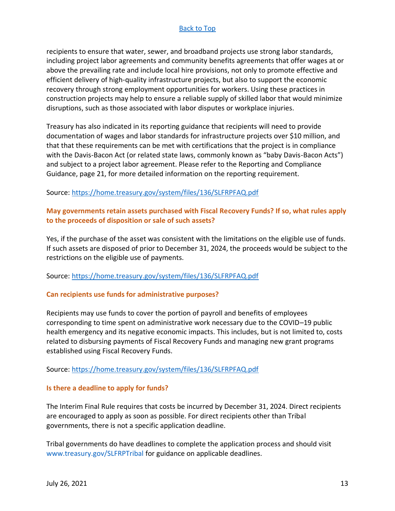recipients to ensure that water, sewer, and broadband projects use strong labor standards, including project labor agreements and community benefits agreements that offer wages at or above the prevailing rate and include local hire provisions, not only to promote effective and efficient delivery of high-quality infrastructure projects, but also to support the economic recovery through strong employment opportunities for workers. Using these practices in construction projects may help to ensure a reliable supply of skilled labor that would minimize disruptions, such as those associated with labor disputes or workplace injuries.

Treasury has also indicated in its reporting guidance that recipients will need to provide documentation of wages and labor standards for infrastructure projects over \$10 million, and that that these requirements can be met with certifications that the project is in compliance with the Davis-Bacon Act (or related state laws, commonly known as "baby Davis-Bacon Acts") and subject to a project labor agreement. Please refer to the Reporting and Compliance Guidance, page 21, for more detailed information on the reporting requirement.

#### Source:<https://home.treasury.gov/system/files/136/SLFRPFAQ.pdf>

## <span id="page-12-0"></span>**May governments retain assets purchased with Fiscal Recovery Funds? If so, what rules apply to the proceeds of disposition or sale of such assets?**

Yes, if the purchase of the asset was consistent with the limitations on the eligible use of funds. If such assets are disposed of prior to December 31, 2024, the proceeds would be subject to the restrictions on the eligible use of payments.

#### Source:<https://home.treasury.gov/system/files/136/SLFRPFAQ.pdf>

#### <span id="page-12-1"></span>**Can recipients use funds for administrative purposes?**

Recipients may use funds to cover the portion of payroll and benefits of employees corresponding to time spent on administrative work necessary due to the COVID–19 public health emergency and its negative economic impacts. This includes, but is not limited to, costs related to disbursing payments of Fiscal Recovery Funds and managing new grant programs established using Fiscal Recovery Funds.

#### Source:<https://home.treasury.gov/system/files/136/SLFRPFAQ.pdf>

#### <span id="page-12-2"></span>**Is there a deadline to apply for funds?**

The Interim Final Rule requires that costs be incurred by December 31, 2024. Direct recipients are encouraged to apply as soon as possible. For direct recipients other than Tribal governments, there is not a specific application deadline.

Tribal governments do have deadlines to complete the application process and should visit www.treasury.gov/SLFRPTribal for guidance on applicable deadlines.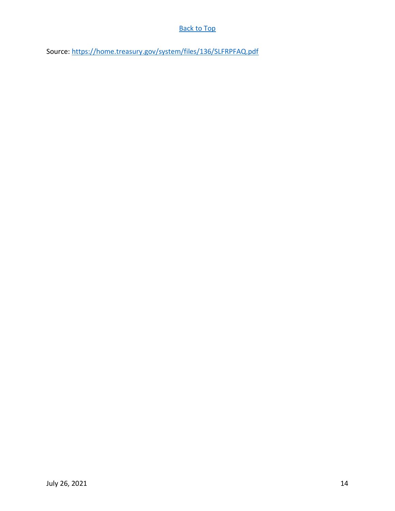Source:<https://home.treasury.gov/system/files/136/SLFRPFAQ.pdf>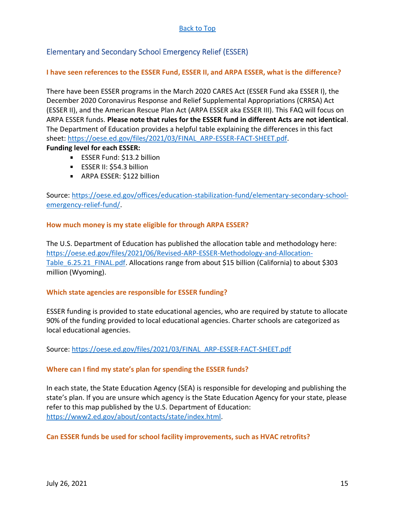# <span id="page-14-0"></span>Elementary and Secondary School Emergency Relief (ESSER)

## <span id="page-14-1"></span>**I have seen references to the ESSER Fund, ESSER II, and ARPA ESSER, what is the difference?**

There have been ESSER programs in the March 2020 CARES Act (ESSER Fund aka ESSER I), the December 2020 Coronavirus Response and Relief Supplemental Appropriations (CRRSA) Act (ESSER II), and the American Rescue Plan Act (ARPA ESSER aka ESSER III). This FAQ will focus on ARPA ESSER funds. **Please note that rules for the ESSER fund in different Acts are not identical**. The Department of Education provides a helpful table explaining the differences in this fact sheet: [https://oese.ed.gov/files/2021/03/FINAL\\_ARP-ESSER-FACT-SHEET.pdf.](https://oese.ed.gov/files/2021/03/FINAL_ARP-ESSER-FACT-SHEET.pdf)

#### **Funding level for each ESSER:**

- **ESSER Fund: \$13.2 billion**
- **ESSER II: \$54.3 billion**
- **ARPA ESSER: \$122 billion**

Source: [https://oese.ed.gov/offices/education-stabilization-fund/elementary-secondary-school](https://oese.ed.gov/offices/education-stabilization-fund/elementary-secondary-school-emergency-relief-fund/)[emergency-relief-fund/.](https://oese.ed.gov/offices/education-stabilization-fund/elementary-secondary-school-emergency-relief-fund/)

#### <span id="page-14-2"></span>**How much money is my state eligible for through ARPA ESSER?**

The U.S. Department of Education has published the allocation table and methodology here: [https://oese.ed.gov/files/2021/06/Revised-ARP-ESSER-Methodology-and-Allocation-](https://oese.ed.gov/files/2021/06/Revised-ARP-ESSER-Methodology-and-Allocation-Table_6.25.21_FINAL.pdf)Table 6.25.21 FINAL.pdf. Allocations range from about \$15 billion (California) to about \$303 million (Wyoming).

#### <span id="page-14-3"></span>**Which state agencies are responsible for ESSER funding?**

ESSER funding is provided to state educational agencies, who are required by statute to allocate 90% of the funding provided to local educational agencies. Charter schools are categorized as local educational agencies.

Source: [https://oese.ed.gov/files/2021/03/FINAL\\_ARP-ESSER-FACT-SHEET.pdf](https://oese.ed.gov/files/2021/03/FINAL_ARP-ESSER-FACT-SHEET.pdf)

# <span id="page-14-4"></span>**Where can I find my state's plan for spending the ESSER funds?**

In each state, the State Education Agency (SEA) is responsible for developing and publishing the state's plan. If you are unsure which agency is the State Education Agency for your state, please refer to this map published by the U.S. Department of Education: [https://www2.ed.gov/about/contacts/state/index.html.](https://www2.ed.gov/about/contacts/state/index.html)

#### <span id="page-14-5"></span>**Can ESSER funds be used for school facility improvements, such as HVAC retrofits?**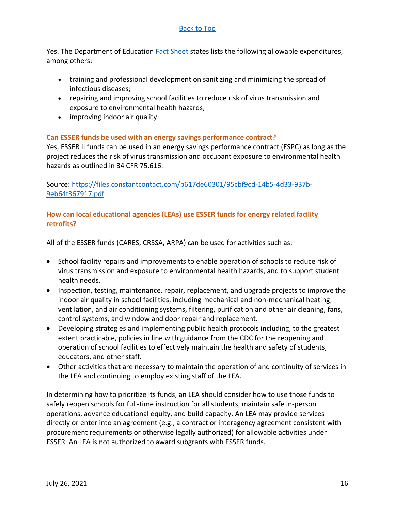Yes. The Department of Education [Fact Sheet](https://oese.ed.gov/files/2021/03/FINAL_ARP-ESSER-FACT-SHEET.pdf) states lists the following allowable expenditures, among others:

- training and professional development on sanitizing and minimizing the spread of infectious diseases;
- repairing and improving school facilities to reduce risk of virus transmission and exposure to environmental health hazards;
- improving indoor air quality

# <span id="page-15-0"></span>**Can ESSER funds be used with an energy savings performance contract?**

Yes, ESSER II funds can be used in an energy savings performance contract (ESPC) as long as the project reduces the risk of virus transmission and occupant exposure to environmental health hazards as outlined in 34 CFR 75.616.

Source: [https://files.constantcontact.com/b617de60301/95cbf9cd-14b5-4d33-937b-](https://files.constantcontact.com/b617de60301/95cbf9cd-14b5-4d33-937b-9eb64f367917.pdf)[9eb64f367917.pdf](https://files.constantcontact.com/b617de60301/95cbf9cd-14b5-4d33-937b-9eb64f367917.pdf)

# <span id="page-15-1"></span>**How can local educational agencies (LEAs) use ESSER funds for energy related facility retrofits?**

All of the ESSER funds (CARES, CRSSA, ARPA) can be used for activities such as:

- School facility repairs and improvements to enable operation of schools to reduce risk of virus transmission and exposure to environmental health hazards, and to support student health needs.
- Inspection, testing, maintenance, repair, replacement, and upgrade projects to improve the indoor air quality in school facilities, including mechanical and non-mechanical heating, ventilation, and air conditioning systems, filtering, purification and other air cleaning, fans, control systems, and window and door repair and replacement.
- Developing strategies and implementing public health protocols including, to the greatest extent practicable, policies in line with guidance from the CDC for the reopening and operation of school facilities to effectively maintain the health and safety of students, educators, and other staff.
- Other activities that are necessary to maintain the operation of and continuity of services in the LEA and continuing to employ existing staff of the LEA.

In determining how to prioritize its funds, an LEA should consider how to use those funds to safely reopen schools for full-time instruction for all students, maintain safe in-person operations, advance educational equity, and build capacity. An LEA may provide services directly or enter into an agreement (e.g., a contract or interagency agreement consistent with procurement requirements or otherwise legally authorized) for allowable activities under ESSER. An LEA is not authorized to award subgrants with ESSER funds.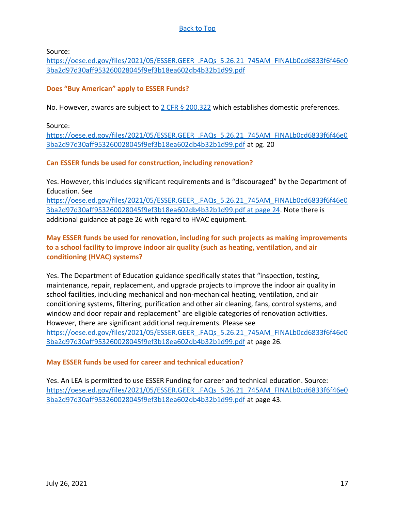Source:

[https://oese.ed.gov/files/2021/05/ESSER.GEER\\_.FAQs\\_5.26.21\\_745AM\\_FINALb0cd6833f6f46e0](https://oese.ed.gov/files/2021/05/ESSER.GEER_.FAQs_5.26.21_745AM_FINALb0cd6833f6f46e03ba2d97d30aff953260028045f9ef3b18ea602db4b32b1d99.pdf) [3ba2d97d30aff953260028045f9ef3b18ea602db4b32b1d99.pdf](https://oese.ed.gov/files/2021/05/ESSER.GEER_.FAQs_5.26.21_745AM_FINALb0cd6833f6f46e03ba2d97d30aff953260028045f9ef3b18ea602db4b32b1d99.pdf)

#### <span id="page-16-0"></span>**Does "Buy American" apply to ESSER Funds?**

No. However, awards are subject to  $2$  CFR § 200.322 which establishes domestic preferences.

Source:

[https://oese.ed.gov/files/2021/05/ESSER.GEER\\_.FAQs\\_5.26.21\\_745AM\\_FINALb0cd6833f6f46e0](https://oese.ed.gov/files/2021/05/ESSER.GEER_.FAQs_5.26.21_745AM_FINALb0cd6833f6f46e03ba2d97d30aff953260028045f9ef3b18ea602db4b32b1d99.pdf) [3ba2d97d30aff953260028045f9ef3b18ea602db4b32b1d99.pdf](https://oese.ed.gov/files/2021/05/ESSER.GEER_.FAQs_5.26.21_745AM_FINALb0cd6833f6f46e03ba2d97d30aff953260028045f9ef3b18ea602db4b32b1d99.pdf) at pg. 20

#### <span id="page-16-1"></span>**Can ESSER funds be used for construction, including renovation?**

Yes. However, this includes significant requirements and is "discouraged" by the Department of Education. See

[https://oese.ed.gov/files/2021/05/ESSER.GEER\\_.FAQs\\_5.26.21\\_745AM\\_FINALb0cd6833f6f46e0](https://oese.ed.gov/files/2021/05/ESSER.GEER_.FAQs_5.26.21_745AM_FINALb0cd6833f6f46e03ba2d97d30aff953260028045f9ef3b18ea602db4b32b1d99.pdf%20at%20page%2024) [3ba2d97d30aff953260028045f9ef3b18ea602db4b32b1d99.pdf at page 24.](https://oese.ed.gov/files/2021/05/ESSER.GEER_.FAQs_5.26.21_745AM_FINALb0cd6833f6f46e03ba2d97d30aff953260028045f9ef3b18ea602db4b32b1d99.pdf%20at%20page%2024) Note there is additional guidance at page 26 with regard to HVAC equipment.

# <span id="page-16-2"></span>**May ESSER funds be used for renovation, including for such projects as making improvements to a school facility to improve indoor air quality (such as heating, ventilation, and air conditioning (HVAC) systems?**

Yes. The Department of Education guidance specifically states that "inspection, testing, maintenance, repair, replacement, and upgrade projects to improve the indoor air quality in school facilities, including mechanical and non-mechanical heating, ventilation, and air conditioning systems, filtering, purification and other air cleaning, fans, control systems, and window and door repair and replacement" are eligible categories of renovation activities. However, there are significant additional requirements. Please see [https://oese.ed.gov/files/2021/05/ESSER.GEER\\_.FAQs\\_5.26.21\\_745AM\\_FINALb0cd6833f6f46e0](https://oese.ed.gov/files/2021/05/ESSER.GEER_.FAQs_5.26.21_745AM_FINALb0cd6833f6f46e03ba2d97d30aff953260028045f9ef3b18ea602db4b32b1d99.pdf) [3ba2d97d30aff953260028045f9ef3b18ea602db4b32b1d99.pdf](https://oese.ed.gov/files/2021/05/ESSER.GEER_.FAQs_5.26.21_745AM_FINALb0cd6833f6f46e03ba2d97d30aff953260028045f9ef3b18ea602db4b32b1d99.pdf) at page 26.

# <span id="page-16-3"></span>**May ESSER funds be used for career and technical education?**

Yes. An LEA is permitted to use ESSER Funding for career and technical education. Source: [https://oese.ed.gov/files/2021/05/ESSER.GEER\\_.FAQs\\_5.26.21\\_745AM\\_FINALb0cd6833f6f46e0](https://oese.ed.gov/files/2021/05/ESSER.GEER_.FAQs_5.26.21_745AM_FINALb0cd6833f6f46e03ba2d97d30aff953260028045f9ef3b18ea602db4b32b1d99.pdf) [3ba2d97d30aff953260028045f9ef3b18ea602db4b32b1d99.pdf](https://oese.ed.gov/files/2021/05/ESSER.GEER_.FAQs_5.26.21_745AM_FINALb0cd6833f6f46e03ba2d97d30aff953260028045f9ef3b18ea602db4b32b1d99.pdf) at page 43.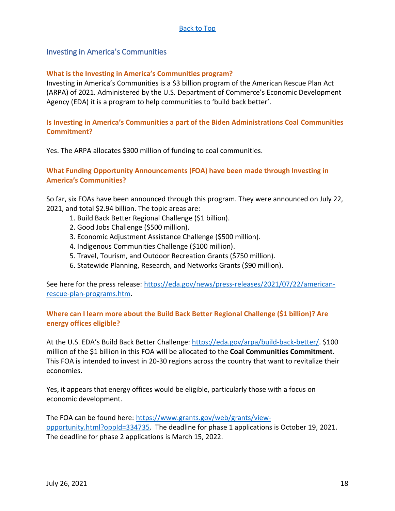#### <span id="page-17-0"></span>Investing in America's Communities

#### <span id="page-17-1"></span>**What is the Investing in America's Communities program?**

Investing in America's Communities is a \$3 billion program of the American Rescue Plan Act (ARPA) of 2021. Administered by the U.S. Department of Commerce's Economic Development Agency (EDA) it is a program to help communities to 'build back better'.

#### <span id="page-17-2"></span>**Is Investing in America's Communities a part of the Biden Administrations Coal Communities Commitment?**

Yes. The ARPA allocates \$300 million of funding to coal communities.

#### <span id="page-17-3"></span>**What Funding Opportunity Announcements (FOA) have been made through Investing in America's Communities?**

So far, six FOAs have been announced through this program. They were announced on July 22, 2021, and total \$2.94 billion. The topic areas are:

- 1. Build Back Better Regional Challenge (\$1 billion).
- 2. Good Jobs Challenge (\$500 million).
- 3. Economic Adjustment Assistance Challenge (\$500 million).
- 4. Indigenous Communities Challenge (\$100 million).
- 5. Travel, Tourism, and Outdoor Recreation Grants (\$750 million).
- 6. Statewide Planning, Research, and Networks Grants (\$90 million).

See here for the press release: [https://eda.gov/news/press-releases/2021/07/22/american](https://eda.gov/news/press-releases/2021/07/22/american-rescue-plan-programs.htm)[rescue-plan-programs.htm.](https://eda.gov/news/press-releases/2021/07/22/american-rescue-plan-programs.htm)

#### <span id="page-17-4"></span>**Where can I learn more about the Build Back Better Regional Challenge (\$1 billion)? Are energy offices eligible?**

At the U.S. EDA's Build Back Better Challenge: [https://eda.gov/arpa/build-back-better/.](https://eda.gov/arpa/build-back-better/) \$100 million of the \$1 billion in this FOA will be allocated to the **Coal Communities Commitment**. This FOA is intended to invest in 20-30 regions across the country that want to revitalize their economies.

Yes, it appears that energy offices would be eligible, particularly those with a focus on economic development.

The FOA can be found here: [https://www.grants.gov/web/grants/view](https://www.grants.gov/web/grants/view-opportunity.html?oppId=334735)[opportunity.html?oppId=334735.](https://www.grants.gov/web/grants/view-opportunity.html?oppId=334735) The deadline for phase 1 applications is October 19, 2021. The deadline for phase 2 applications is March 15, 2022.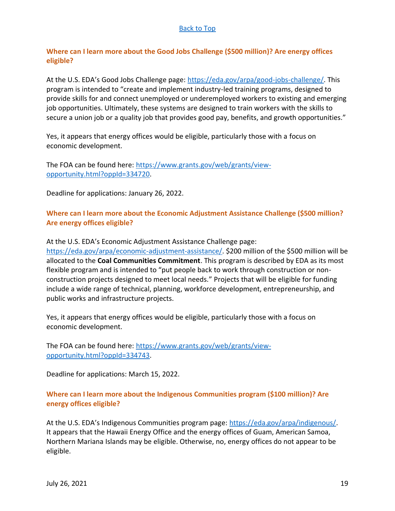# <span id="page-18-0"></span>**Where can I learn more about the Good Jobs Challenge (\$500 million)? Are energy offices eligible?**

At the U.S. EDA's Good Jobs Challenge page: [https://eda.gov/arpa/good-jobs-challenge/.](https://eda.gov/arpa/good-jobs-challenge/) This program is intended to "create and implement industry-led training programs, designed to provide skills for and connect unemployed or underemployed workers to existing and emerging job opportunities. Ultimately, these systems are designed to train workers with the skills to secure a union job or a quality job that provides good pay, benefits, and growth opportunities."

Yes, it appears that energy offices would be eligible, particularly those with a focus on economic development.

The FOA can be found here: [https://www.grants.gov/web/grants/view](https://www.grants.gov/web/grants/view-opportunity.html?oppId=334720)[opportunity.html?oppId=334720.](https://www.grants.gov/web/grants/view-opportunity.html?oppId=334720)

Deadline for applications: January 26, 2022.

#### <span id="page-18-1"></span>**Where can I learn more about the Economic Adjustment Assistance Challenge (\$500 million? Are energy offices eligible?**

At the U.S. EDA's Economic Adjustment Assistance Challenge page:

[https://eda.gov/arpa/economic-adjustment-assistance/.](https://eda.gov/arpa/economic-adjustment-assistance/) \$200 million of the \$500 million will be allocated to the **Coal Communities Commitment**. This program is described by EDA as its most flexible program and is intended to "put people back to work through construction or nonconstruction projects designed to meet local needs." Projects that will be eligible for funding include a wide range of technical, planning, workforce development, entrepreneurship, and public works and infrastructure projects.

Yes, it appears that energy offices would be eligible, particularly those with a focus on economic development.

The FOA can be found here: [https://www.grants.gov/web/grants/view](https://www.grants.gov/web/grants/view-opportunity.html?oppId=334743)[opportunity.html?oppId=334743.](https://www.grants.gov/web/grants/view-opportunity.html?oppId=334743)

Deadline for applications: March 15, 2022.

#### <span id="page-18-2"></span>**Where can I learn more about the Indigenous Communities program (\$100 million)? Are energy offices eligible?**

At the U.S. EDA's Indigenous Communities program page: [https://eda.gov/arpa/indigenous/.](https://eda.gov/arpa/indigenous/) It appears that the Hawaii Energy Office and the energy offices of Guam, American Samoa, Northern Mariana Islands may be eligible. Otherwise, no, energy offices do not appear to be eligible.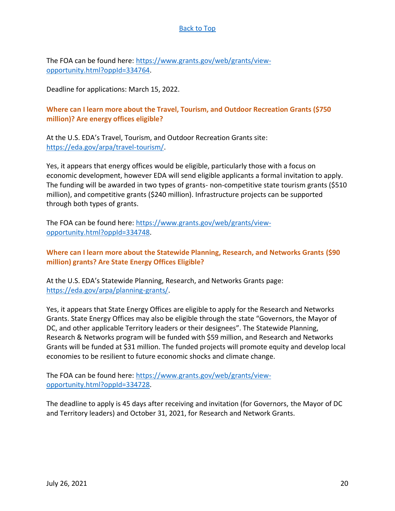The FOA can be found here: [https://www.grants.gov/web/grants/view](https://www.grants.gov/web/grants/view-opportunity.html?oppId=334764)[opportunity.html?oppId=334764.](https://www.grants.gov/web/grants/view-opportunity.html?oppId=334764)

Deadline for applications: March 15, 2022.

# <span id="page-19-0"></span>**Where can I learn more about the Travel, Tourism, and Outdoor Recreation Grants (\$750 million)? Are energy offices eligible?**

At the U.S. EDA's Travel, Tourism, and Outdoor Recreation Grants site: [https://eda.gov/arpa/travel-tourism/.](https://eda.gov/arpa/travel-tourism/)

Yes, it appears that energy offices would be eligible, particularly those with a focus on economic development, however EDA will send eligible applicants a formal invitation to apply. The funding will be awarded in two types of grants- non-competitive state tourism grants (\$510 million), and competitive grants (\$240 million). Infrastructure projects can be supported through both types of grants.

The FOA can be found here[: https://www.grants.gov/web/grants/view](https://www.grants.gov/web/grants/view-opportunity.html?oppId=334748)[opportunity.html?oppId=334748.](https://www.grants.gov/web/grants/view-opportunity.html?oppId=334748)

# <span id="page-19-1"></span>**Where can I learn more about the Statewide Planning, Research, and Networks Grants (\$90 million) grants? Are State Energy Offices Eligible?**

At the U.S. EDA's Statewide Planning, Research, and Networks Grants page: [https://eda.gov/arpa/planning-grants/.](https://eda.gov/arpa/planning-grants/)

Yes, it appears that State Energy Offices are eligible to apply for the Research and Networks Grants. State Energy Offices may also be eligible through the state "Governors, the Mayor of DC, and other applicable Territory leaders or their designees". The Statewide Planning, Research & Networks program will be funded with \$59 million, and Research and Networks Grants will be funded at \$31 million. The funded projects will promote equity and develop local economies to be resilient to future economic shocks and climate change.

The FOA can be found here: [https://www.grants.gov/web/grants/view](https://www.grants.gov/web/grants/view-opportunity.html?oppId=334728)[opportunity.html?oppId=334728.](https://www.grants.gov/web/grants/view-opportunity.html?oppId=334728)

The deadline to apply is 45 days after receiving and invitation (for Governors, the Mayor of DC and Territory leaders) and October 31, 2021, for Research and Network Grants.